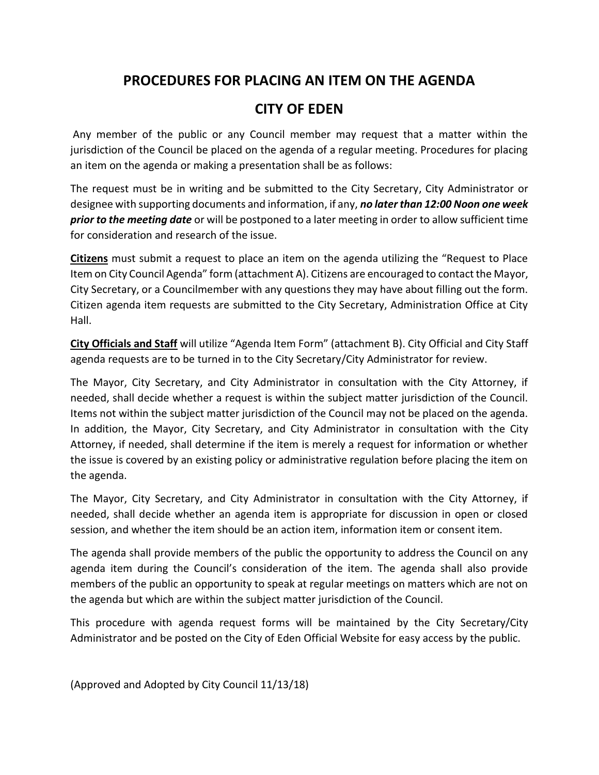## **PROCEDURES FOR PLACING AN ITEM ON THE AGENDA**

## **CITY OF EDEN**

Any member of the public or any Council member may request that a matter within the jurisdiction of the Council be placed on the agenda of a regular meeting. Procedures for placing an item on the agenda or making a presentation shall be as follows:

The request must be in writing and be submitted to the City Secretary, City Administrator or designee with supporting documents and information, if any, *no later than 12:00 Noon one week prior to the meeting date* or will be postponed to a later meeting in order to allow sufficient time for consideration and research of the issue.

**Citizens** must submit a request to place an item on the agenda utilizing the "Request to Place Item on City Council Agenda" form (attachment A). Citizens are encouraged to contact the Mayor, City Secretary, or a Councilmember with any questions they may have about filling out the form. Citizen agenda item requests are submitted to the City Secretary, Administration Office at City Hall.

**City Officials and Staff** will utilize "Agenda Item Form" (attachment B). City Official and City Staff agenda requests are to be turned in to the City Secretary/City Administrator for review.

The Mayor, City Secretary, and City Administrator in consultation with the City Attorney, if needed, shall decide whether a request is within the subject matter jurisdiction of the Council. Items not within the subject matter jurisdiction of the Council may not be placed on the agenda. In addition, the Mayor, City Secretary, and City Administrator in consultation with the City Attorney, if needed, shall determine if the item is merely a request for information or whether the issue is covered by an existing policy or administrative regulation before placing the item on the agenda.

The Mayor, City Secretary, and City Administrator in consultation with the City Attorney, if needed, shall decide whether an agenda item is appropriate for discussion in open or closed session, and whether the item should be an action item, information item or consent item.

The agenda shall provide members of the public the opportunity to address the Council on any agenda item during the Council's consideration of the item. The agenda shall also provide members of the public an opportunity to speak at regular meetings on matters which are not on the agenda but which are within the subject matter jurisdiction of the Council.

This procedure with agenda request forms will be maintained by the City Secretary/City Administrator and be posted on the City of Eden Official Website for easy access by the public.

(Approved and Adopted by City Council 11/13/18)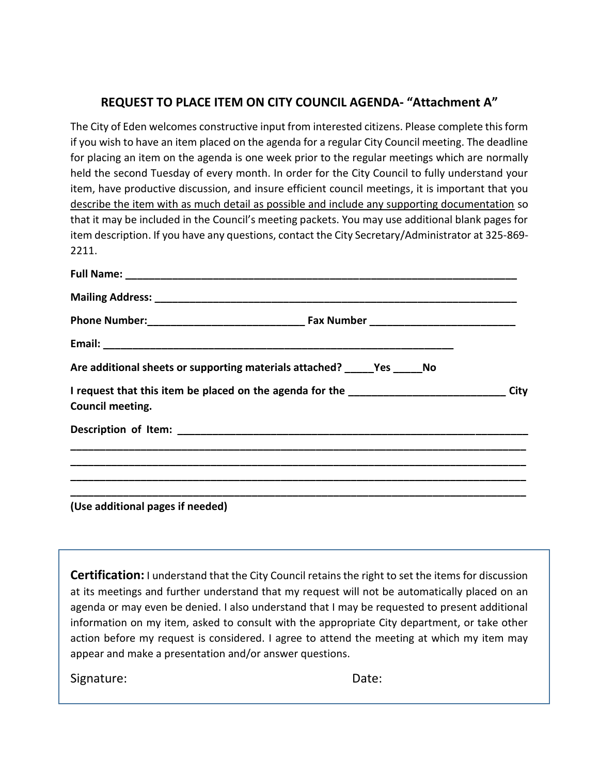#### **REQUEST TO PLACE ITEM ON CITY COUNCIL AGENDA- "Attachment A"**

The City of Eden welcomes constructive input from interested citizens. Please complete this form if you wish to have an item placed on the agenda for a regular City Council meeting. The deadline for placing an item on the agenda is one week prior to the regular meetings which are normally held the second Tuesday of every month. In order for the City Council to fully understand your item, have productive discussion, and insure efficient council meetings, it is important that you describe the item with as much detail as possible and include any supporting documentation so that it may be included in the Council's meeting packets. You may use additional blank pages for item description. If you have any questions, contact the City Secretary/Administrator at 325-869- 2211.

| Are additional sheets or supporting materials attached? ______ Yes ______ No      |      |
|-----------------------------------------------------------------------------------|------|
| I request that this item be placed on the agenda for the ________________________ | City |
| Council meeting.                                                                  |      |
|                                                                                   |      |
|                                                                                   |      |
|                                                                                   |      |
|                                                                                   |      |

**(Use additional pages if needed)**

**Certification:** I understand that the City Council retains the right to set the items for discussion at its meetings and further understand that my request will not be automatically placed on an agenda or may even be denied. I also understand that I may be requested to present additional information on my item, asked to consult with the appropriate City department, or take other action before my request is considered. I agree to attend the meeting at which my item may appear and make a presentation and/or answer questions.

Signature: Date: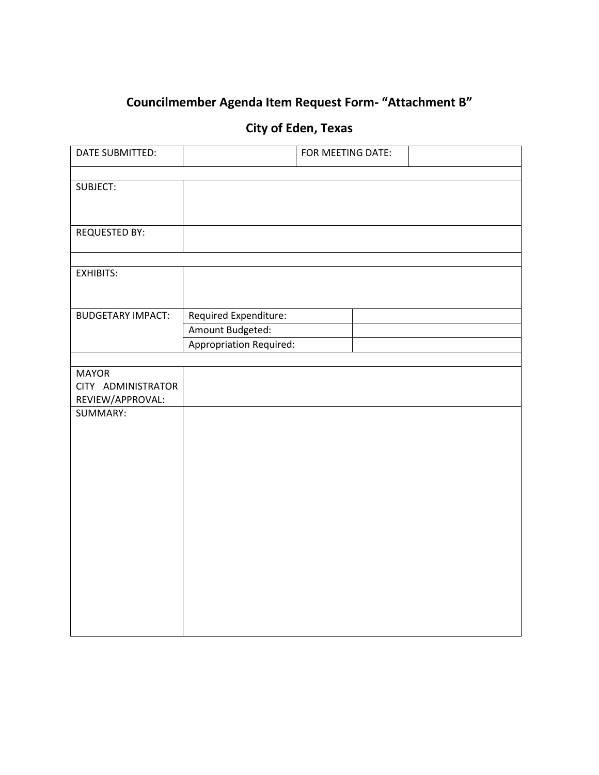# **Councilmember Agenda Item Request Form- "Attachment B"**

## **City of Eden, Texas**

| DATE SUBMITTED:                                                          |                                                                             | FOR MEETING DATE: |  |
|--------------------------------------------------------------------------|-----------------------------------------------------------------------------|-------------------|--|
|                                                                          |                                                                             |                   |  |
| SUBJECT:                                                                 |                                                                             |                   |  |
|                                                                          |                                                                             |                   |  |
| <b>REQUESTED BY:</b>                                                     |                                                                             |                   |  |
|                                                                          |                                                                             |                   |  |
|                                                                          |                                                                             |                   |  |
|                                                                          |                                                                             |                   |  |
|                                                                          |                                                                             |                   |  |
|                                                                          |                                                                             |                   |  |
|                                                                          |                                                                             |                   |  |
|                                                                          |                                                                             |                   |  |
|                                                                          |                                                                             |                   |  |
| CITY ADMINISTRATOR                                                       |                                                                             |                   |  |
| REVIEW/APPROVAL:                                                         |                                                                             |                   |  |
|                                                                          |                                                                             |                   |  |
|                                                                          |                                                                             |                   |  |
|                                                                          |                                                                             |                   |  |
|                                                                          |                                                                             |                   |  |
|                                                                          |                                                                             |                   |  |
|                                                                          |                                                                             |                   |  |
|                                                                          |                                                                             |                   |  |
|                                                                          |                                                                             |                   |  |
|                                                                          |                                                                             |                   |  |
|                                                                          |                                                                             |                   |  |
|                                                                          |                                                                             |                   |  |
|                                                                          |                                                                             |                   |  |
|                                                                          |                                                                             |                   |  |
|                                                                          |                                                                             |                   |  |
| <b>EXHIBITS:</b><br><b>BUDGETARY IMPACT:</b><br><b>MAYOR</b><br>SUMMARY: | Required Expenditure:<br>Amount Budgeted:<br><b>Appropriation Required:</b> |                   |  |